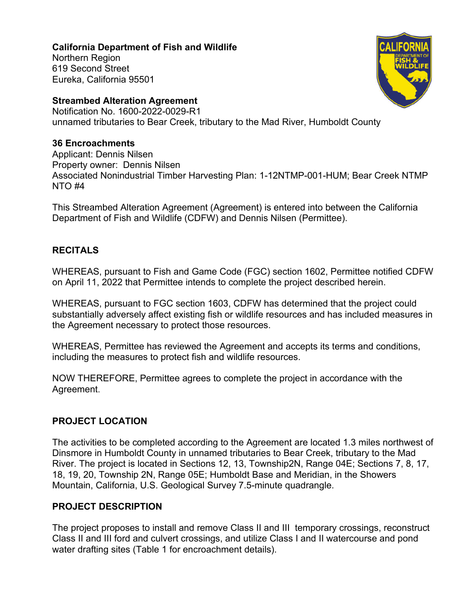**California Department of Fish and Wildlife** Northern Region 619 Second Street Eureka, California 95501



**Streambed Alteration Agreement** 

Notification No. 1600-2022-0029-R1 unnamed tributaries to Bear Creek, tributary to the Mad River, Humboldt County

#### **36 Encroachments**

Applicant: Dennis Nilsen Property owner: Dennis Nilsen Associated Nonindustrial Timber Harvesting Plan: 1-12NTMP-001-HUM; Bear Creek NTMP NTO #4

This Streambed Alteration Agreement (Agreement) is entered into between the California Department of Fish and Wildlife (CDFW) and Dennis Nilsen (Permittee).

# **RECITALS**

WHEREAS, pursuant to Fish and Game Code (FGC) section 1602, Permittee notified CDFW on April 11, 2022 that Permittee intends to complete the project described herein.

WHEREAS, pursuant to FGC section 1603, CDFW has determined that the project could substantially adversely affect existing fish or wildlife resources and has included measures in the Agreement necessary to protect those resources.

WHEREAS, Permittee has reviewed the Agreement and accepts its terms and conditions, including the measures to protect fish and wildlife resources.

NOW THEREFORE, Permittee agrees to complete the project in accordance with the Agreement.

## **PROJECT LOCATION**

The activities to be completed according to the Agreement are located 1.3 miles northwest of Dinsmore in Humboldt County in unnamed tributaries to Bear Creek, tributary to the Mad River. The project is located in Sections 12, 13, Township2N, Range 04E; Sections 7, 8, 17, 18, 19, 20, Township 2N, Range 05E; Humboldt Base and Meridian, in the Showers Mountain, California, U.S. Geological Survey 7.5-minute quadrangle.

## **PROJECT DESCRIPTION**

The project proposes to install and remove Class II and III temporary crossings, reconstruct Class II and III ford and culvert crossings, and utilize Class I and II watercourse and pond water drafting sites (Table 1 for encroachment details).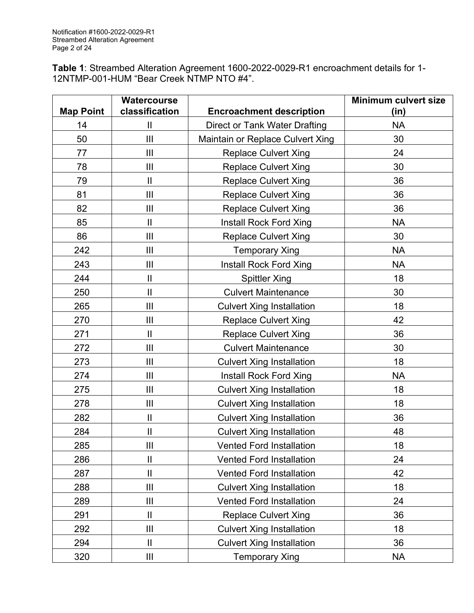**Table 1**: Streambed Alteration Agreement 1600-2022-0029-R1 encroachment details for 1- 12NTMP-001-HUM "Bear Creek NTMP NTO #4".

|                  | <b>Watercourse</b> |                                            | <b>Minimum culvert size</b> |
|------------------|--------------------|--------------------------------------------|-----------------------------|
| <b>Map Point</b> | classification     | <b>Encroachment description</b>            | (in)                        |
| 14               | $\mathbf{II}$      | <b>Direct or Tank Water Drafting</b>       | <b>NA</b>                   |
| 50               | III                | Maintain or Replace Culvert Xing           | 30                          |
| 77               | III                | <b>Replace Culvert Xing</b>                | 24                          |
| 78               | III                | <b>Replace Culvert Xing</b>                | 30                          |
| 79               | $\mathbf{II}$      | <b>Replace Culvert Xing</b>                | 36                          |
| 81               | III                | <b>Replace Culvert Xing</b>                | 36                          |
| 82               | III                | <b>Replace Culvert Xing</b>                | 36                          |
| 85               | $\mathbf{II}$      | <b>Install Rock Ford Xing</b>              | <b>NA</b>                   |
| 86               | III                | <b>Replace Culvert Xing</b>                | 30                          |
| 242              | III                | <b>NA</b><br><b>Temporary Xing</b>         |                             |
| 243              | III                | <b>NA</b><br><b>Install Rock Ford Xing</b> |                             |
| 244              | $\mathbf{I}$       | <b>Spittler Xing</b>                       | 18                          |
| 250              | $\mathbf{II}$      | 30<br><b>Culvert Maintenance</b>           |                             |
| 265              | III                | 18<br><b>Culvert Xing Installation</b>     |                             |
| 270              | III                | <b>Replace Culvert Xing</b>                | 42                          |
| 271              | $\mathbf{I}$       | 36<br><b>Replace Culvert Xing</b>          |                             |
| 272              | III                | <b>Culvert Maintenance</b>                 | 30                          |
| 273              | III                | 18<br><b>Culvert Xing Installation</b>     |                             |
| 274              | III                | <b>Install Rock Ford Xing</b>              | <b>NA</b>                   |
| 275              | III                | <b>Culvert Xing Installation</b>           | 18                          |
| 278              | III                | <b>Culvert Xing Installation</b>           | 18                          |
| 282              | $\mathbf{I}$       | <b>Culvert Xing Installation</b>           | 36                          |
| 284              | $\mathbf{II}$      | <b>Culvert Xing Installation</b>           | 48                          |
| 285              | III                | <b>Vented Ford Installation</b>            | 18                          |
| 286              | $\mathbf{II}$      | <b>Vented Ford Installation</b>            | 24                          |
| 287              | $\mathbf{I}$       | Vented Ford Installation                   | 42                          |
| 288              | Ш                  | <b>Culvert Xing Installation</b>           | 18                          |
| 289              | Ш                  | Vented Ford Installation                   | 24                          |
| 291              | $\mathbf{II}$      | <b>Replace Culvert Xing</b>                | 36                          |
| 292              | Ш                  | <b>Culvert Xing Installation</b>           | 18                          |
| 294              | $\mathbf{II}$      | <b>Culvert Xing Installation</b>           | 36                          |
| 320              | Ш                  | <b>Temporary Xing</b>                      | <b>NA</b>                   |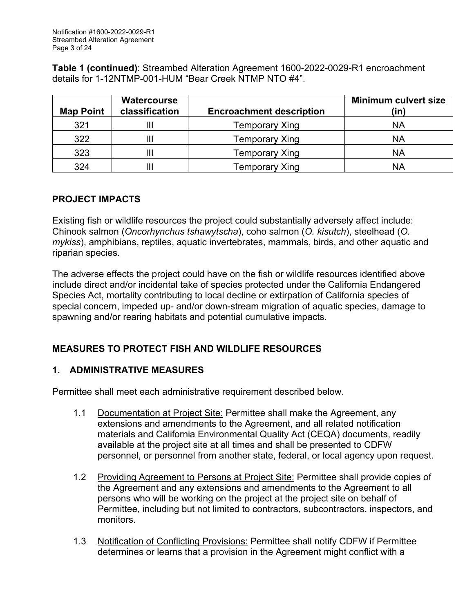**Table 1 (continued)**: Streambed Alteration Agreement 1600-2022-0029-R1 encroachment details for 1-12NTMP-001-HUM "Bear Creek NTMP NTO #4".

| <b>Map Point</b> | <b>Watercourse</b><br>classification | <b>Encroachment description</b> | <b>Minimum culvert size</b><br>(in) |
|------------------|--------------------------------------|---------------------------------|-------------------------------------|
| 321              | Ш                                    | Temporary Xing                  | <b>NA</b>                           |
| 322              | Ш                                    | <b>Temporary Xing</b>           | <b>NA</b>                           |
| 323              | Ш                                    | <b>Temporary Xing</b>           | <b>NA</b>                           |
| 324              |                                      | <b>Temporary Xing</b>           | ΝA                                  |

## **PROJECT IMPACTS**

Existing fish or wildlife resources the project could substantially adversely affect include: Chinook salmon (*Oncorhynchus tshawytscha*), coho salmon (*O. kisutch*), steelhead (*O. mykiss*), amphibians, reptiles, aquatic invertebrates, mammals, birds, and other aquatic and riparian species.

The adverse effects the project could have on the fish or wildlife resources identified above include direct and/or incidental take of species protected under the California Endangered Species Act, mortality contributing to local decline or extirpation of California species of special concern, impeded up- and/or down-stream migration of aquatic species, damage to spawning and/or rearing habitats and potential cumulative impacts.

# **MEASURES TO PROTECT FISH AND WILDLIFE RESOURCES**

## **1. ADMINISTRATIVE MEASURES**

Permittee shall meet each administrative requirement described below.

- 1.1 Documentation at Project Site: Permittee shall make the Agreement, any extensions and amendments to the Agreement, and all related notification materials and California Environmental Quality Act (CEQA) documents, readily available at the project site at all times and shall be presented to CDFW personnel, or personnel from another state, federal, or local agency upon request.
- 1.2 Providing Agreement to Persons at Project Site: Permittee shall provide copies of the Agreement and any extensions and amendments to the Agreement to all persons who will be working on the project at the project site on behalf of Permittee, including but not limited to contractors, subcontractors, inspectors, and monitors.
- 1.3 Notification of Conflicting Provisions: Permittee shall notify CDFW if Permittee determines or learns that a provision in the Agreement might conflict with a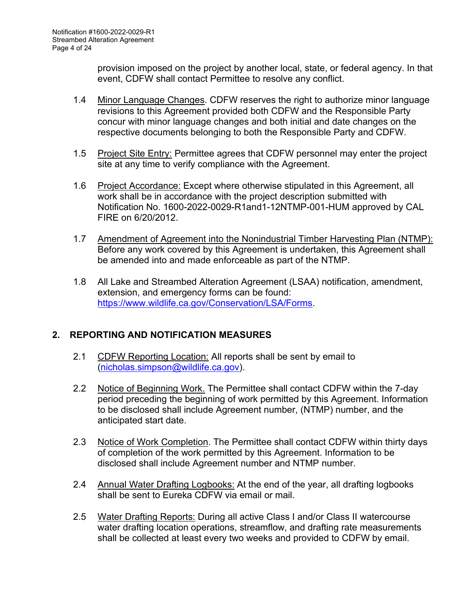provision imposed on the project by another local, state, or federal agency. In that event, CDFW shall contact Permittee to resolve any conflict.

- 1.4 Minor Language Changes. CDFW reserves the right to authorize minor language revisions to this Agreement provided both CDFW and the Responsible Party concur with minor language changes and both initial and date changes on the respective documents belonging to both the Responsible Party and CDFW.
- 1.5 Project Site Entry: Permittee agrees that CDFW personnel may enter the project site at any time to verify compliance with the Agreement.
- 1.6 Project Accordance: Except where otherwise stipulated in this Agreement, all work shall be in accordance with the project description submitted with Notification No. 1600-2022-0029-R1and1-12NTMP-001-HUM approved by CAL FIRE on 6/20/2012.
- 1.7 Amendment of Agreement into the Nonindustrial Timber Harvesting Plan (NTMP): Before any work covered by this Agreement is undertaken, this Agreement shall be amended into and made enforceable as part of the NTMP.
- 1.8 All Lake and Streambed Alteration Agreement (LSAA) notification, amendment, extension, and emergency forms can be found: https://www.wildlife.ca.gov/Conservation/LSA/Forms.

# **2. REPORTING AND NOTIFICATION MEASURES**

- 2.1 CDFW Reporting Location: All reports shall be sent by email to (nicholas.simpson@wildlife.ca.gov).
- 2.2 Notice of Beginning Work. The Permittee shall contact CDFW within the 7-day period preceding the beginning of work permitted by this Agreement. Information to be disclosed shall include Agreement number, (NTMP) number, and the anticipated start date.
- 2.3 Notice of Work Completion. The Permittee shall contact CDFW within thirty days of completion of the work permitted by this Agreement. Information to be disclosed shall include Agreement number and NTMP number.
- 2.4 Annual Water Drafting Logbooks: At the end of the year, all drafting logbooks shall be sent to Eureka CDFW via email or mail.
- 2.5 Water Drafting Reports: During all active Class I and/or Class II watercourse water drafting location operations, streamflow, and drafting rate measurements shall be collected at least every two weeks and provided to CDFW by email.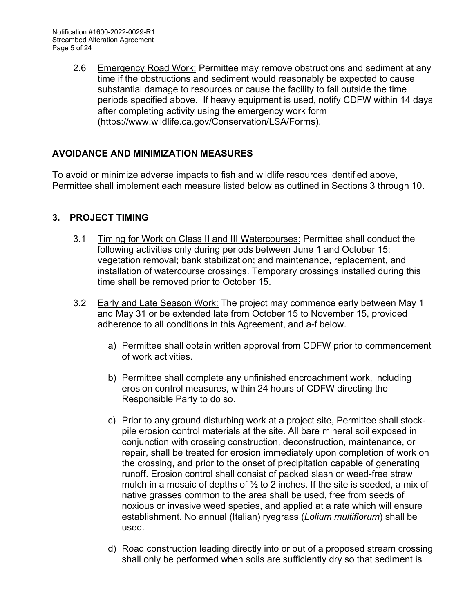2.6 Emergency Road Work: Permittee may remove obstructions and sediment at any time if the obstructions and sediment would reasonably be expected to cause substantial damage to resources or cause the facility to fail outside the time periods specified above. If heavy equipment is used, notify CDFW within 14 days after completing activity using the emergency work form (https://www.wildlife.ca.gov/Conservation/LSA/Forms).

# **AVOIDANCE AND MINIMIZATION MEASURES**

To avoid or minimize adverse impacts to fish and wildlife resources identified above, Permittee shall implement each measure listed below as outlined in Sections 3 through 10.

## **3. PROJECT TIMING**

- 3.1 Timing for Work on Class II and III Watercourses: Permittee shall conduct the following activities only during periods between June 1 and October 15: vegetation removal; bank stabilization; and maintenance, replacement, and installation of watercourse crossings. Temporary crossings installed during this time shall be removed prior to October 15.
- 3.2 Early and Late Season Work: The project may commence early between May 1 and May 31 or be extended late from October 15 to November 15, provided adherence to all conditions in this Agreement, and a-f below.
	- a) Permittee shall obtain written approval from CDFW prior to commencement of work activities.
	- b) Permittee shall complete any unfinished encroachment work, including erosion control measures, within 24 hours of CDFW directing the Responsible Party to do so.
	- c) Prior to any ground disturbing work at a project site, Permittee shall stockpile erosion control materials at the site. All bare mineral soil exposed in conjunction with crossing construction, deconstruction, maintenance, or repair, shall be treated for erosion immediately upon completion of work on the crossing, and prior to the onset of precipitation capable of generating runoff. Erosion control shall consist of packed slash or weed-free straw mulch in a mosaic of depths of  $\frac{1}{2}$  to 2 inches. If the site is seeded, a mix of native grasses common to the area shall be used, free from seeds of noxious or invasive weed species, and applied at a rate which will ensure establishment. No annual (Italian) ryegrass (*Lolium multiflorum*) shall be used.
	- d) Road construction leading directly into or out of a proposed stream crossing shall only be performed when soils are sufficiently dry so that sediment is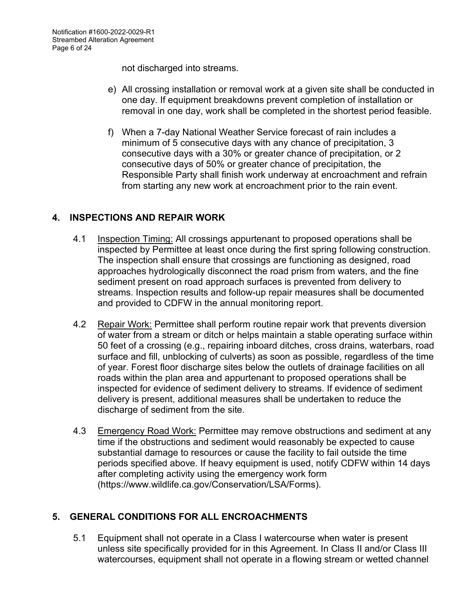not discharged into streams.

- e) All crossing installation or removal work at a given site shall be conducted in one day. If equipment breakdowns prevent completion of installation or removal in one day, work shall be completed in the shortest period feasible.
- f) When a 7-day National Weather Service forecast of rain includes a minimum of 5 consecutive days with any chance of precipitation, 3 consecutive days with a 30% or greater chance of precipitation, or 2 consecutive days of 50% or greater chance of precipitation, the Responsible Party shall finish work underway at encroachment and refrain from starting any new work at encroachment prior to the rain event.

## **4. INSPECTIONS AND REPAIR WORK**

- 4.1 Inspection Timing: All crossings appurtenant to proposed operations shall be inspected by Permittee at least once during the first spring following construction. The inspection shall ensure that crossings are functioning as designed, road approaches hydrologically disconnect the road prism from waters, and the fine sediment present on road approach surfaces is prevented from delivery to streams. Inspection results and follow-up repair measures shall be documented and provided to CDFW in the annual monitoring report.
- 4.2 Repair Work: Permittee shall perform routine repair work that prevents diversion of water from a stream or ditch or helps maintain a stable operating surface within 50 feet of a crossing (e.g., repairing inboard ditches, cross drains, waterbars, road surface and fill, unblocking of culverts) as soon as possible, regardless of the time of year. Forest floor discharge sites below the outlets of drainage facilities on all roads within the plan area and appurtenant to proposed operations shall be inspected for evidence of sediment delivery to streams. If evidence of sediment delivery is present, additional measures shall be undertaken to reduce the discharge of sediment from the site.
- 4.3 Emergency Road Work: Permittee may remove obstructions and sediment at any time if the obstructions and sediment would reasonably be expected to cause substantial damage to resources or cause the facility to fail outside the time periods specified above. If heavy equipment is used, notify CDFW within 14 days after completing activity using the emergency work form (https://www.wildlife.ca.gov/Conservation/LSA/Forms).

## **5. GENERAL CONDITIONS FOR ALL ENCROACHMENTS**

5.1 Equipment shall not operate in a Class I watercourse when water is present unless site specifically provided for in this Agreement. In Class II and/or Class III watercourses, equipment shall not operate in a flowing stream or wetted channel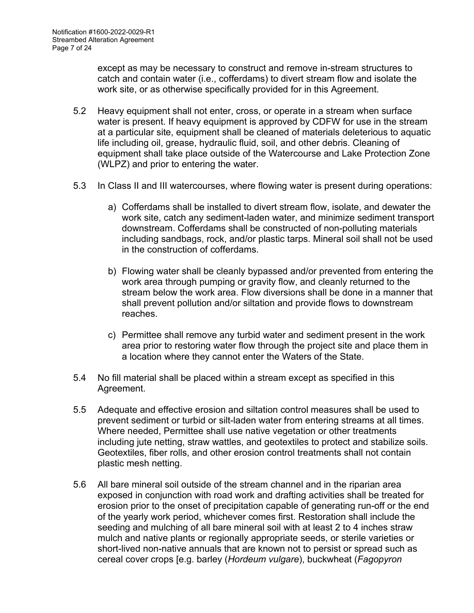except as may be necessary to construct and remove in-stream structures to catch and contain water (i.e., cofferdams) to divert stream flow and isolate the work site, or as otherwise specifically provided for in this Agreement.

- 5.2 Heavy equipment shall not enter, cross, or operate in a stream when surface water is present. If heavy equipment is approved by CDFW for use in the stream at a particular site, equipment shall be cleaned of materials deleterious to aquatic life including oil, grease, hydraulic fluid, soil, and other debris. Cleaning of equipment shall take place outside of the Watercourse and Lake Protection Zone (WLPZ) and prior to entering the water.
- 5.3 In Class II and III watercourses, where flowing water is present during operations:
	- a) Cofferdams shall be installed to divert stream flow, isolate, and dewater the work site, catch any sediment-laden water, and minimize sediment transport downstream. Cofferdams shall be constructed of non-polluting materials including sandbags, rock, and/or plastic tarps. Mineral soil shall not be used in the construction of cofferdams.
	- b) Flowing water shall be cleanly bypassed and/or prevented from entering the work area through pumping or gravity flow, and cleanly returned to the stream below the work area. Flow diversions shall be done in a manner that shall prevent pollution and/or siltation and provide flows to downstream reaches.
	- c) Permittee shall remove any turbid water and sediment present in the work area prior to restoring water flow through the project site and place them in a location where they cannot enter the Waters of the State.
- 5.4 No fill material shall be placed within a stream except as specified in this Agreement.
- 5.5 Adequate and effective erosion and siltation control measures shall be used to prevent sediment or turbid or silt-laden water from entering streams at all times. Where needed, Permittee shall use native vegetation or other treatments including jute netting, straw wattles, and geotextiles to protect and stabilize soils. Geotextiles, fiber rolls, and other erosion control treatments shall not contain plastic mesh netting.
- 5.6 All bare mineral soil outside of the stream channel and in the riparian area exposed in conjunction with road work and drafting activities shall be treated for erosion prior to the onset of precipitation capable of generating run-off or the end of the yearly work period, whichever comes first. Restoration shall include the seeding and mulching of all bare mineral soil with at least 2 to 4 inches straw mulch and native plants or regionally appropriate seeds, or sterile varieties or short-lived non-native annuals that are known not to persist or spread such as cereal cover crops [e.g. barley (*Hordeum vulgare*), buckwheat (*Fagopyron*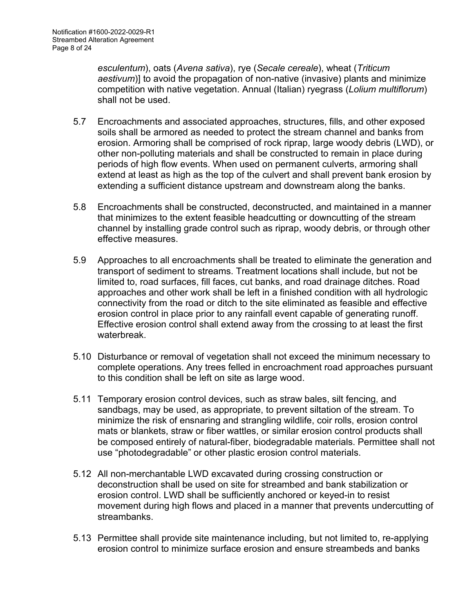*esculentum*), oats (*Avena sativa*), rye (*Secale cereale*), wheat (*Triticum aestivum*)] to avoid the propagation of non-native (invasive) plants and minimize competition with native vegetation. Annual (Italian) ryegrass (*Lolium multiflorum*) shall not be used.

- 5.7 Encroachments and associated approaches, structures, fills, and other exposed soils shall be armored as needed to protect the stream channel and banks from erosion. Armoring shall be comprised of rock riprap, large woody debris (LWD), or other non-polluting materials and shall be constructed to remain in place during periods of high flow events. When used on permanent culverts, armoring shall extend at least as high as the top of the culvert and shall prevent bank erosion by extending a sufficient distance upstream and downstream along the banks.
- 5.8 Encroachments shall be constructed, deconstructed, and maintained in a manner that minimizes to the extent feasible headcutting or downcutting of the stream channel by installing grade control such as riprap, woody debris, or through other effective measures.
- 5.9 Approaches to all encroachments shall be treated to eliminate the generation and transport of sediment to streams. Treatment locations shall include, but not be limited to, road surfaces, fill faces, cut banks, and road drainage ditches. Road approaches and other work shall be left in a finished condition with all hydrologic connectivity from the road or ditch to the site eliminated as feasible and effective erosion control in place prior to any rainfall event capable of generating runoff. Effective erosion control shall extend away from the crossing to at least the first waterbreak.
- 5.10 Disturbance or removal of vegetation shall not exceed the minimum necessary to complete operations. Any trees felled in encroachment road approaches pursuant to this condition shall be left on site as large wood.
- 5.11 Temporary erosion control devices, such as straw bales, silt fencing, and sandbags, may be used, as appropriate, to prevent siltation of the stream. To minimize the risk of ensnaring and strangling wildlife, coir rolls, erosion control mats or blankets, straw or fiber wattles, or similar erosion control products shall be composed entirely of natural-fiber, biodegradable materials. Permittee shall not use "photodegradable" or other plastic erosion control materials.
- 5.12 All non-merchantable LWD excavated during crossing construction or deconstruction shall be used on site for streambed and bank stabilization or erosion control. LWD shall be sufficiently anchored or keyed-in to resist movement during high flows and placed in a manner that prevents undercutting of streambanks.
- 5.13 Permittee shall provide site maintenance including, but not limited to, re-applying erosion control to minimize surface erosion and ensure streambeds and banks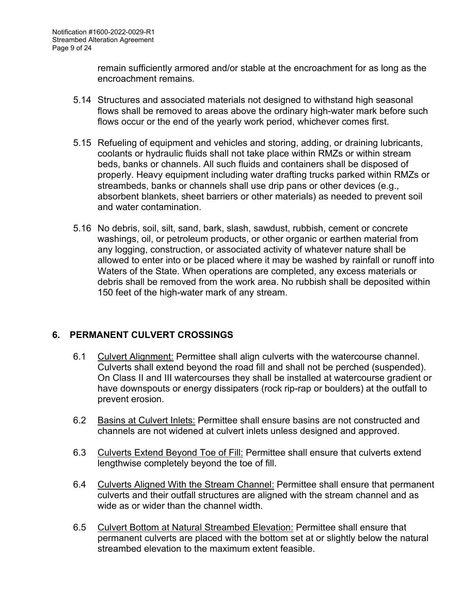remain sufficiently armored and/or stable at the encroachment for as long as the encroachment remains.

- 5.14 Structures and associated materials not designed to withstand high seasonal flows shall be removed to areas above the ordinary high-water mark before such flows occur or the end of the yearly work period, whichever comes first.
- 5.15 Refueling of equipment and vehicles and storing, adding, or draining lubricants, coolants or hydraulic fluids shall not take place within RMZs or within stream beds, banks or channels. All such fluids and containers shall be disposed of properly. Heavy equipment including water drafting trucks parked within RMZs or streambeds, banks or channels shall use drip pans or other devices (e.g., absorbent blankets, sheet barriers or other materials) as needed to prevent soil and water contamination.
- 5.16 No debris, soil, silt, sand, bark, slash, sawdust, rubbish, cement or concrete washings, oil, or petroleum products, or other organic or earthen material from any logging, construction, or associated activity of whatever nature shall be allowed to enter into or be placed where it may be washed by rainfall or runoff into Waters of the State. When operations are completed, any excess materials or debris shall be removed from the work area. No rubbish shall be deposited within 150 feet of the high-water mark of any stream.

# **6. PERMANENT CULVERT CROSSINGS**

- 6.1 Culvert Alignment: Permittee shall align culverts with the watercourse channel. Culverts shall extend beyond the road fill and shall not be perched (suspended). On Class II and III watercourses they shall be installed at watercourse gradient or have downspouts or energy dissipaters (rock rip-rap or boulders) at the outfall to prevent erosion.
- 6.2 Basins at Culvert Inlets: Permittee shall ensure basins are not constructed and channels are not widened at culvert inlets unless designed and approved.
- 6.3 Culverts Extend Beyond Toe of Fill: Permittee shall ensure that culverts extend lengthwise completely beyond the toe of fill.
- 6.4 Culverts Aligned With the Stream Channel: Permittee shall ensure that permanent culverts and their outfall structures are aligned with the stream channel and as wide as or wider than the channel width.
- 6.5 Culvert Bottom at Natural Streambed Elevation: Permittee shall ensure that permanent culverts are placed with the bottom set at or slightly below the natural streambed elevation to the maximum extent feasible.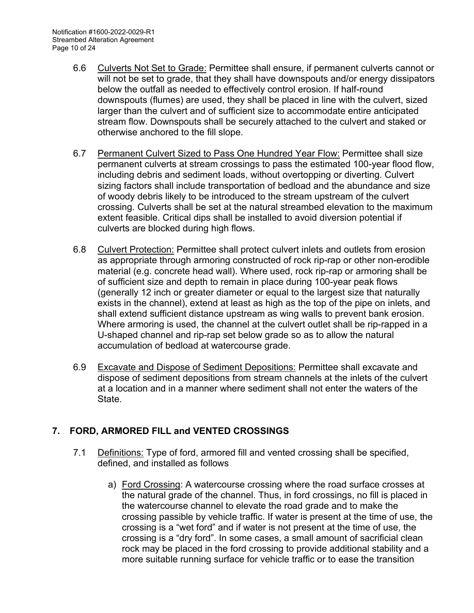- 6.6 Culverts Not Set to Grade: Permittee shall ensure, if permanent culverts cannot or will not be set to grade, that they shall have downspouts and/or energy dissipators below the outfall as needed to effectively control erosion. If half-round downspouts (flumes) are used, they shall be placed in line with the culvert, sized larger than the culvert and of sufficient size to accommodate entire anticipated stream flow. Downspouts shall be securely attached to the culvert and staked or otherwise anchored to the fill slope.
- 6.7 Permanent Culvert Sized to Pass One Hundred Year Flow: Permittee shall size permanent culverts at stream crossings to pass the estimated 100-year flood flow, including debris and sediment loads, without overtopping or diverting. Culvert sizing factors shall include transportation of bedload and the abundance and size of woody debris likely to be introduced to the stream upstream of the culvert crossing. Culverts shall be set at the natural streambed elevation to the maximum extent feasible. Critical dips shall be installed to avoid diversion potential if culverts are blocked during high flows.
- 6.8 Culvert Protection: Permittee shall protect culvert inlets and outlets from erosion as appropriate through armoring constructed of rock rip-rap or other non-erodible material (e.g. concrete head wall). Where used, rock rip-rap or armoring shall be of sufficient size and depth to remain in place during 100-year peak flows (generally 12 inch or greater diameter or equal to the largest size that naturally exists in the channel), extend at least as high as the top of the pipe on inlets, and shall extend sufficient distance upstream as wing walls to prevent bank erosion. Where armoring is used, the channel at the culvert outlet shall be rip-rapped in a U-shaped channel and rip-rap set below grade so as to allow the natural accumulation of bedload at watercourse grade.
- 6.9 Excavate and Dispose of Sediment Depositions: Permittee shall excavate and dispose of sediment depositions from stream channels at the inlets of the culvert at a location and in a manner where sediment shall not enter the waters of the State.

# **7. FORD, ARMORED FILL and VENTED CROSSINGS**

- 7.1 Definitions: Type of ford, armored fill and vented crossing shall be specified, defined, and installed as follows
	- a) Ford Crossing: A watercourse crossing where the road surface crosses at the natural grade of the channel. Thus, in ford crossings, no fill is placed in the watercourse channel to elevate the road grade and to make the crossing passible by vehicle traffic. If water is present at the time of use, the crossing is a "wet ford" and if water is not present at the time of use, the crossing is a "dry ford". In some cases, a small amount of sacrificial clean rock may be placed in the ford crossing to provide additional stability and a more suitable running surface for vehicle traffic or to ease the transition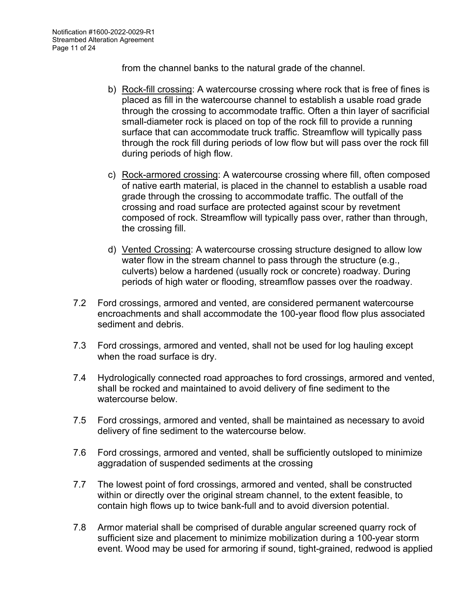from the channel banks to the natural grade of the channel.

- b) Rock-fill crossing: A watercourse crossing where rock that is free of fines is placed as fill in the watercourse channel to establish a usable road grade through the crossing to accommodate traffic. Often a thin layer of sacrificial small-diameter rock is placed on top of the rock fill to provide a running surface that can accommodate truck traffic. Streamflow will typically pass through the rock fill during periods of low flow but will pass over the rock fill during periods of high flow.
- c) Rock-armored crossing: A watercourse crossing where fill, often composed of native earth material, is placed in the channel to establish a usable road grade through the crossing to accommodate traffic. The outfall of the crossing and road surface are protected against scour by revetment composed of rock. Streamflow will typically pass over, rather than through, the crossing fill.
- d) Vented Crossing: A watercourse crossing structure designed to allow low water flow in the stream channel to pass through the structure (e.g., culverts) below a hardened (usually rock or concrete) roadway. During periods of high water or flooding, streamflow passes over the roadway.
- 7.2 Ford crossings, armored and vented, are considered permanent watercourse encroachments and shall accommodate the 100-year flood flow plus associated sediment and debris.
- 7.3 Ford crossings, armored and vented, shall not be used for log hauling except when the road surface is dry.
- 7.4 Hydrologically connected road approaches to ford crossings, armored and vented, shall be rocked and maintained to avoid delivery of fine sediment to the watercourse below.
- 7.5 Ford crossings, armored and vented, shall be maintained as necessary to avoid delivery of fine sediment to the watercourse below.
- 7.6 Ford crossings, armored and vented, shall be sufficiently outsloped to minimize aggradation of suspended sediments at the crossing
- 7.7 The lowest point of ford crossings, armored and vented, shall be constructed within or directly over the original stream channel, to the extent feasible, to contain high flows up to twice bank-full and to avoid diversion potential.
- 7.8 Armor material shall be comprised of durable angular screened quarry rock of sufficient size and placement to minimize mobilization during a 100-year storm event. Wood may be used for armoring if sound, tight-grained, redwood is applied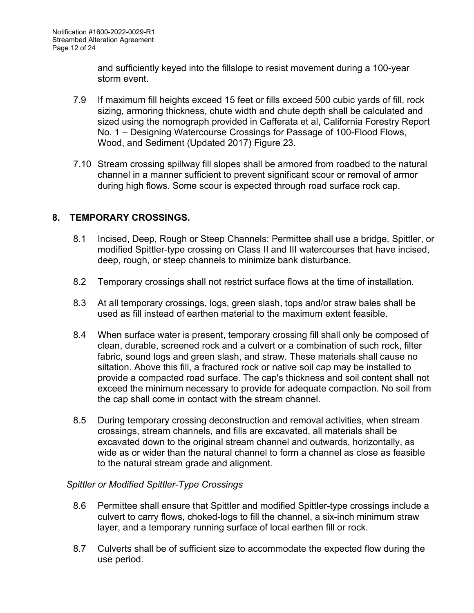and sufficiently keyed into the fillslope to resist movement during a 100-year storm event.

- 7.9 If maximum fill heights exceed 15 feet or fills exceed 500 cubic yards of fill, rock sizing, armoring thickness, chute width and chute depth shall be calculated and sized using the nomograph provided in Cafferata et al, California Forestry Report No. 1 – Designing Watercourse Crossings for Passage of 100-Flood Flows, Wood, and Sediment (Updated 2017) Figure 23.
- 7.10 Stream crossing spillway fill slopes shall be armored from roadbed to the natural channel in a manner sufficient to prevent significant scour or removal of armor during high flows. Some scour is expected through road surface rock cap.

## **8. TEMPORARY CROSSINGS.**

- 8.1 Incised, Deep, Rough or Steep Channels: Permittee shall use a bridge, Spittler, or modified Spittler-type crossing on Class II and III watercourses that have incised, deep, rough, or steep channels to minimize bank disturbance.
- 8.2 Temporary crossings shall not restrict surface flows at the time of installation.
- 8.3 At all temporary crossings, logs, green slash, tops and/or straw bales shall be used as fill instead of earthen material to the maximum extent feasible.
- 8.4 When surface water is present, temporary crossing fill shall only be composed of clean, durable, screened rock and a culvert or a combination of such rock, filter fabric, sound logs and green slash, and straw. These materials shall cause no siltation. Above this fill, a fractured rock or native soil cap may be installed to provide a compacted road surface. The cap's thickness and soil content shall not exceed the minimum necessary to provide for adequate compaction. No soil from the cap shall come in contact with the stream channel.
- 8.5 During temporary crossing deconstruction and removal activities, when stream crossings, stream channels, and fills are excavated, all materials shall be excavated down to the original stream channel and outwards, horizontally, as wide as or wider than the natural channel to form a channel as close as feasible to the natural stream grade and alignment.

## *Spittler or Modified Spittler-Type Crossings*

- 8.6 Permittee shall ensure that Spittler and modified Spittler-type crossings include a culvert to carry flows, choked-logs to fill the channel, a six-inch minimum straw layer, and a temporary running surface of local earthen fill or rock.
- 8.7 Culverts shall be of sufficient size to accommodate the expected flow during the use period.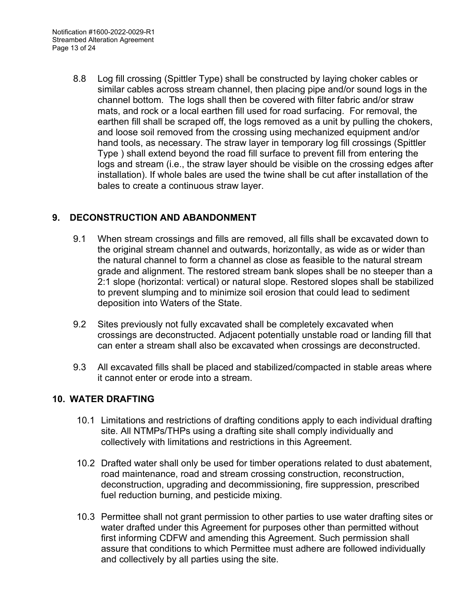8.8 Log fill crossing (Spittler Type) shall be constructed by laying choker cables or similar cables across stream channel, then placing pipe and/or sound logs in the channel bottom. The logs shall then be covered with filter fabric and/or straw mats, and rock or a local earthen fill used for road surfacing. For removal, the earthen fill shall be scraped off, the logs removed as a unit by pulling the chokers, and loose soil removed from the crossing using mechanized equipment and/or hand tools, as necessary. The straw layer in temporary log fill crossings (Spittler Type ) shall extend beyond the road fill surface to prevent fill from entering the logs and stream (i.e., the straw layer should be visible on the crossing edges after installation). If whole bales are used the twine shall be cut after installation of the bales to create a continuous straw layer.

# **9. DECONSTRUCTION AND ABANDONMENT**

- 9.1 When stream crossings and fills are removed, all fills shall be excavated down to the original stream channel and outwards, horizontally, as wide as or wider than the natural channel to form a channel as close as feasible to the natural stream grade and alignment. The restored stream bank slopes shall be no steeper than a 2:1 slope (horizontal: vertical) or natural slope. Restored slopes shall be stabilized to prevent slumping and to minimize soil erosion that could lead to sediment deposition into Waters of the State.
- 9.2 Sites previously not fully excavated shall be completely excavated when crossings are deconstructed. Adjacent potentially unstable road or landing fill that can enter a stream shall also be excavated when crossings are deconstructed.
- 9.3 All excavated fills shall be placed and stabilized/compacted in stable areas where it cannot enter or erode into a stream.

## **10. WATER DRAFTING**

- 10.1 Limitations and restrictions of drafting conditions apply to each individual drafting site. All NTMPs/THPs using a drafting site shall comply individually and collectively with limitations and restrictions in this Agreement.
- 10.2 Drafted water shall only be used for timber operations related to dust abatement, road maintenance, road and stream crossing construction, reconstruction, deconstruction, upgrading and decommissioning, fire suppression, prescribed fuel reduction burning, and pesticide mixing.
- 10.3 Permittee shall not grant permission to other parties to use water drafting sites or water drafted under this Agreement for purposes other than permitted without first informing CDFW and amending this Agreement. Such permission shall assure that conditions to which Permittee must adhere are followed individually and collectively by all parties using the site.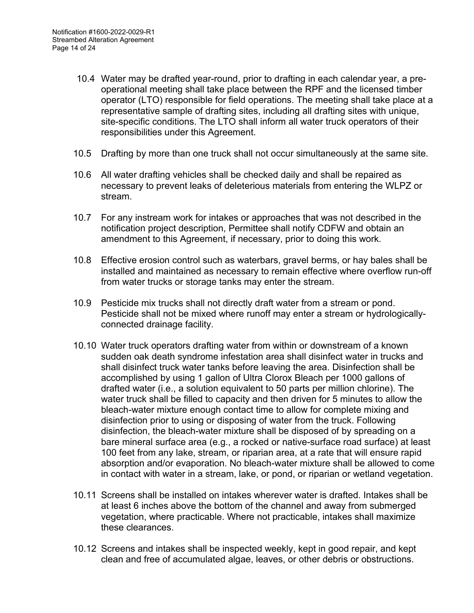- 10.4 Water may be drafted year-round, prior to drafting in each calendar year, a preoperational meeting shall take place between the RPF and the licensed timber operator (LTO) responsible for field operations. The meeting shall take place at a representative sample of drafting sites, including all drafting sites with unique, site-specific conditions. The LTO shall inform all water truck operators of their responsibilities under this Agreement.
- 10.5 Drafting by more than one truck shall not occur simultaneously at the same site.
- 10.6 All water drafting vehicles shall be checked daily and shall be repaired as necessary to prevent leaks of deleterious materials from entering the WLPZ or stream.
- 10.7 For any instream work for intakes or approaches that was not described in the notification project description, Permittee shall notify CDFW and obtain an amendment to this Agreement, if necessary, prior to doing this work.
- 10.8 Effective erosion control such as waterbars, gravel berms, or hay bales shall be installed and maintained as necessary to remain effective where overflow run-off from water trucks or storage tanks may enter the stream.
- 10.9 Pesticide mix trucks shall not directly draft water from a stream or pond. Pesticide shall not be mixed where runoff may enter a stream or hydrologicallyconnected drainage facility.
- 10.10 Water truck operators drafting water from within or downstream of a known sudden oak death syndrome infestation area shall disinfect water in trucks and shall disinfect truck water tanks before leaving the area. Disinfection shall be accomplished by using 1 gallon of Ultra Clorox Bleach per 1000 gallons of drafted water (i.e., a solution equivalent to 50 parts per million chlorine). The water truck shall be filled to capacity and then driven for 5 minutes to allow the bleach-water mixture enough contact time to allow for complete mixing and disinfection prior to using or disposing of water from the truck. Following disinfection, the bleach-water mixture shall be disposed of by spreading on a bare mineral surface area (e.g., a rocked or native-surface road surface) at least 100 feet from any lake, stream, or riparian area, at a rate that will ensure rapid absorption and/or evaporation. No bleach-water mixture shall be allowed to come in contact with water in a stream, lake, or pond, or riparian or wetland vegetation.
- 10.11 Screens shall be installed on intakes wherever water is drafted. Intakes shall be at least 6 inches above the bottom of the channel and away from submerged vegetation, where practicable. Where not practicable, intakes shall maximize these clearances.
- 10.12 Screens and intakes shall be inspected weekly, kept in good repair, and kept clean and free of accumulated algae, leaves, or other debris or obstructions.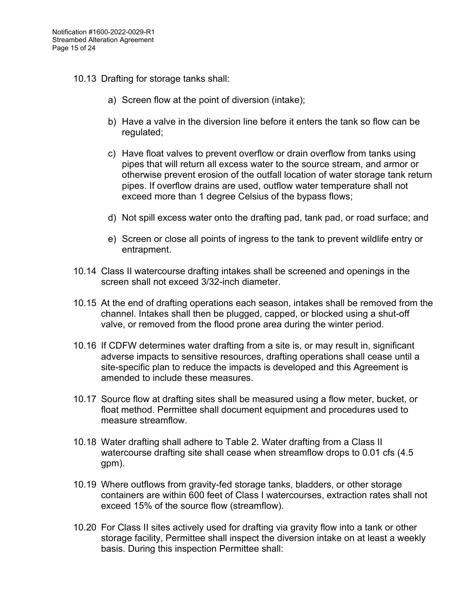- 10.13 Drafting for storage tanks shall:
	- a) Screen flow at the point of diversion (intake);
	- b) Have a valve in the diversion line before it enters the tank so flow can be regulated;
	- c) Have float valves to prevent overflow or drain overflow from tanks using pipes that will return all excess water to the source stream, and armor or otherwise prevent erosion of the outfall location of water storage tank return pipes. If overflow drains are used, outflow water temperature shall not exceed more than 1 degree Celsius of the bypass flows;
	- d) Not spill excess water onto the drafting pad, tank pad, or road surface; and
	- e) Screen or close all points of ingress to the tank to prevent wildlife entry or entrapment.
- 10.14 Class II watercourse drafting intakes shall be screened and openings in the screen shall not exceed 3/32-inch diameter.
- 10.15 At the end of drafting operations each season, intakes shall be removed from the channel. Intakes shall then be plugged, capped, or blocked using a shut-off valve, or removed from the flood prone area during the winter period.
- 10.16 If CDFW determines water drafting from a site is, or may result in, significant adverse impacts to sensitive resources, drafting operations shall cease until a site-specific plan to reduce the impacts is developed and this Agreement is amended to include these measures.
- 10.17 Source flow at drafting sites shall be measured using a flow meter, bucket, or float method. Permittee shall document equipment and procedures used to measure streamflow.
- 10.18 Water drafting shall adhere to Table 2. Water drafting from a Class II watercourse drafting site shall cease when streamflow drops to 0.01 cfs (4.5 gpm).
- 10.19 Where outflows from gravity-fed storage tanks, bladders, or other storage containers are within 600 feet of Class I watercourses, extraction rates shall not exceed 15% of the source flow (streamflow).
- 10.20 For Class II sites actively used for drafting via gravity flow into a tank or other storage facility, Permittee shall inspect the diversion intake on at least a weekly basis. During this inspection Permittee shall: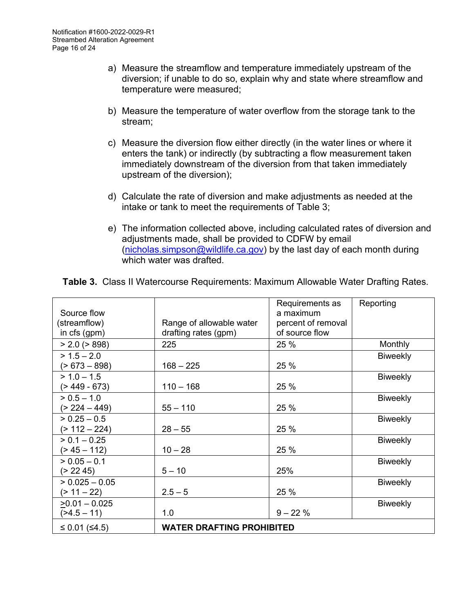- a) Measure the streamflow and temperature immediately upstream of the diversion; if unable to do so, explain why and state where streamflow and temperature were measured;
- b) Measure the temperature of water overflow from the storage tank to the stream;
- c) Measure the diversion flow either directly (in the water lines or where it enters the tank) or indirectly (by subtracting a flow measurement taken immediately downstream of the diversion from that taken immediately upstream of the diversion);
- d) Calculate the rate of diversion and make adjustments as needed at the intake or tank to meet the requirements of Table 3;
- e) The information collected above, including calculated rates of diversion and adjustments made, shall be provided to CDFW by email (nicholas.simpson@wildlife.ca.gov) by the last day of each month during which water was drafted.

|                     |                                  | Requirements as    | Reporting       |
|---------------------|----------------------------------|--------------------|-----------------|
| Source flow         |                                  | a maximum          |                 |
| (streamflow)        | Range of allowable water         | percent of removal |                 |
| in cfs (gpm)        | drafting rates (gpm)             | of source flow     |                 |
| $> 2.0$ ( $> 898$ ) | 225                              | 25 %               | Monthly         |
| $> 1.5 - 2.0$       |                                  |                    | <b>Biweekly</b> |
| $($ > 673 – 898)    | $168 - 225$                      | 25 %               |                 |
| $> 1.0 - 1.5$       |                                  |                    | <b>Biweekly</b> |
| $( > 449 - 673)$    | $110 - 168$                      | 25 %               |                 |
| $> 0.5 - 1.0$       |                                  |                    | <b>Biweekly</b> |
| $( > 224 - 449)$    | $55 - 110$                       | 25 %               |                 |
| $> 0.25 - 0.5$      |                                  |                    | <b>Biweekly</b> |
| $(> 112 - 224)$     | $28 - 55$                        | 25 %               |                 |
| $> 0.1 - 0.25$      |                                  |                    | <b>Biweekly</b> |
| $($ > 45 – 112)     | $10 - 28$                        | 25 %               |                 |
| $> 0.05 - 0.1$      |                                  |                    | <b>Biweekly</b> |
| (> 22 45)           | $5 - 10$                         | 25%                |                 |
| $> 0.025 - 0.05$    |                                  |                    | <b>Biweekly</b> |
| $(> 11 - 22)$       | $2.5 - 5$                        | 25 %               |                 |
| $>0.01 - 0.025$     |                                  |                    | <b>Biweekly</b> |
| $($ >4.5 – 11)      | 1.0                              | $9 - 22%$          |                 |
| ≤ 0.01 (≤4.5)       | <b>WATER DRAFTING PROHIBITED</b> |                    |                 |

 **Table 3.** Class II Watercourse Requirements: Maximum Allowable Water Drafting Rates.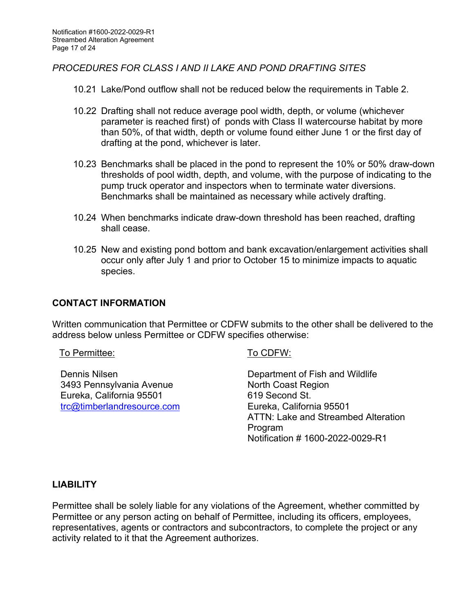#### *PROCEDURES FOR CLASS I AND II LAKE AND POND DRAFTING SITES*

- 10.21 Lake/Pond outflow shall not be reduced below the requirements in Table 2.
- 10.22 Drafting shall not reduce average pool width, depth, or volume (whichever parameter is reached first) of ponds with Class II watercourse habitat by more than 50%, of that width, depth or volume found either June 1 or the first day of drafting at the pond, whichever is later.
- 10.23 Benchmarks shall be placed in the pond to represent the 10% or 50% draw-down thresholds of pool width, depth, and volume, with the purpose of indicating to the pump truck operator and inspectors when to terminate water diversions. Benchmarks shall be maintained as necessary while actively drafting.
- 10.24 When benchmarks indicate draw-down threshold has been reached, drafting shall cease.
- 10.25 New and existing pond bottom and bank excavation/enlargement activities shall occur only after July 1 and prior to October 15 to minimize impacts to aquatic species.

#### **CONTACT INFORMATION**

Written communication that Permittee or CDFW submits to the other shall be delivered to the address below unless Permittee or CDFW specifies otherwise:

#### To Permittee: To CDFW:

Dennis Nilsen 3493 Pennsylvania Avenue Eureka, California 95501 trc@timberlandresource.com

Department of Fish and Wildlife North Coast Region 619 Second St. Eureka, California 95501 ATTN: Lake and Streambed Alteration Program Notification # 1600-2022-0029-R1

#### **LIABILITY**

Permittee shall be solely liable for any violations of the Agreement, whether committed by Permittee or any person acting on behalf of Permittee, including its officers, employees, representatives, agents or contractors and subcontractors, to complete the project or any activity related to it that the Agreement authorizes.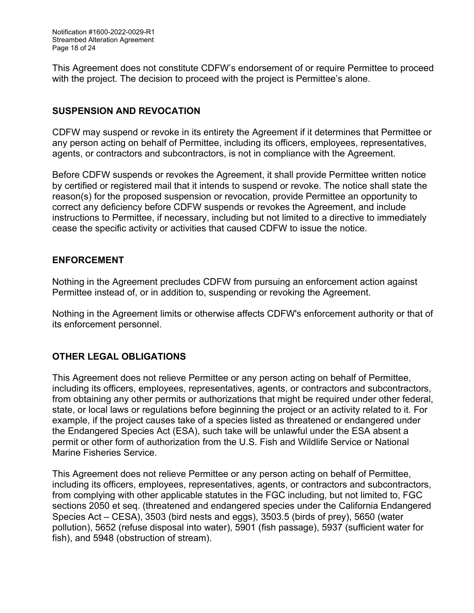This Agreement does not constitute CDFW's endorsement of or require Permittee to proceed with the project. The decision to proceed with the project is Permittee's alone.

## **SUSPENSION AND REVOCATION**

CDFW may suspend or revoke in its entirety the Agreement if it determines that Permittee or any person acting on behalf of Permittee, including its officers, employees, representatives, agents, or contractors and subcontractors, is not in compliance with the Agreement.

Before CDFW suspends or revokes the Agreement, it shall provide Permittee written notice by certified or registered mail that it intends to suspend or revoke. The notice shall state the reason(s) for the proposed suspension or revocation, provide Permittee an opportunity to correct any deficiency before CDFW suspends or revokes the Agreement, and include instructions to Permittee, if necessary, including but not limited to a directive to immediately cease the specific activity or activities that caused CDFW to issue the notice.

#### **ENFORCEMENT**

Nothing in the Agreement precludes CDFW from pursuing an enforcement action against Permittee instead of, or in addition to, suspending or revoking the Agreement.

Nothing in the Agreement limits or otherwise affects CDFW's enforcement authority or that of its enforcement personnel.

# **OTHER LEGAL OBLIGATIONS**

This Agreement does not relieve Permittee or any person acting on behalf of Permittee, including its officers, employees, representatives, agents, or contractors and subcontractors, from obtaining any other permits or authorizations that might be required under other federal, state, or local laws or regulations before beginning the project or an activity related to it. For example, if the project causes take of a species listed as threatened or endangered under the Endangered Species Act (ESA), such take will be unlawful under the ESA absent a permit or other form of authorization from the U.S. Fish and Wildlife Service or National Marine Fisheries Service.

This Agreement does not relieve Permittee or any person acting on behalf of Permittee, including its officers, employees, representatives, agents, or contractors and subcontractors, from complying with other applicable statutes in the FGC including, but not limited to, FGC sections 2050 et seq. (threatened and endangered species under the California Endangered Species Act – CESA), 3503 (bird nests and eggs), 3503.5 (birds of prey), 5650 (water pollution), 5652 (refuse disposal into water), 5901 (fish passage), 5937 (sufficient water for fish), and 5948 (obstruction of stream).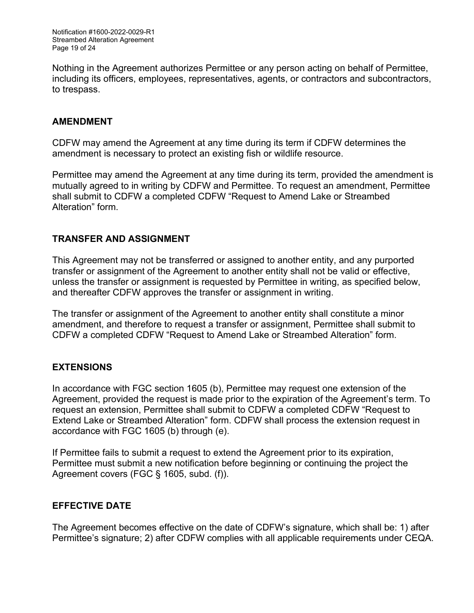Nothing in the Agreement authorizes Permittee or any person acting on behalf of Permittee, including its officers, employees, representatives, agents, or contractors and subcontractors, to trespass.

#### **AMENDMENT**

CDFW may amend the Agreement at any time during its term if CDFW determines the amendment is necessary to protect an existing fish or wildlife resource.

Permittee may amend the Agreement at any time during its term, provided the amendment is mutually agreed to in writing by CDFW and Permittee. To request an amendment, Permittee shall submit to CDFW a completed CDFW "Request to Amend Lake or Streambed Alteration" form.

#### **TRANSFER AND ASSIGNMENT**

This Agreement may not be transferred or assigned to another entity, and any purported transfer or assignment of the Agreement to another entity shall not be valid or effective, unless the transfer or assignment is requested by Permittee in writing, as specified below, and thereafter CDFW approves the transfer or assignment in writing.

The transfer or assignment of the Agreement to another entity shall constitute a minor amendment, and therefore to request a transfer or assignment, Permittee shall submit to CDFW a completed CDFW "Request to Amend Lake or Streambed Alteration" form.

## **EXTENSIONS**

In accordance with FGC section 1605 (b), Permittee may request one extension of the Agreement, provided the request is made prior to the expiration of the Agreement's term. To request an extension, Permittee shall submit to CDFW a completed CDFW "Request to Extend Lake or Streambed Alteration" form. CDFW shall process the extension request in accordance with FGC 1605 (b) through (e).

If Permittee fails to submit a request to extend the Agreement prior to its expiration, Permittee must submit a new notification before beginning or continuing the project the Agreement covers (FGC § 1605, subd. (f)).

## **EFFECTIVE DATE**

The Agreement becomes effective on the date of CDFW's signature, which shall be: 1) after Permittee's signature; 2) after CDFW complies with all applicable requirements under CEQA.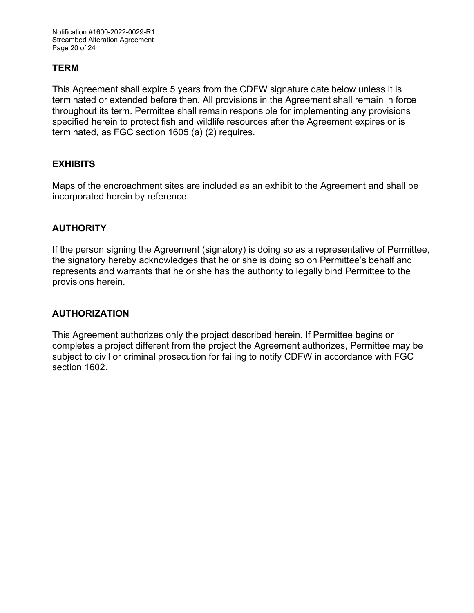#### **TERM**

This Agreement shall expire 5 years from the CDFW signature date below unless it is terminated or extended before then. All provisions in the Agreement shall remain in force throughout its term. Permittee shall remain responsible for implementing any provisions specified herein to protect fish and wildlife resources after the Agreement expires or is terminated, as FGC section 1605 (a) (2) requires.

#### **EXHIBITS**

Maps of the encroachment sites are included as an exhibit to the Agreement and shall be incorporated herein by reference.

#### **AUTHORITY**

If the person signing the Agreement (signatory) is doing so as a representative of Permittee, the signatory hereby acknowledges that he or she is doing so on Permittee's behalf and represents and warrants that he or she has the authority to legally bind Permittee to the provisions herein.

#### **AUTHORIZATION**

This Agreement authorizes only the project described herein. If Permittee begins or completes a project different from the project the Agreement authorizes, Permittee may be subject to civil or criminal prosecution for failing to notify CDFW in accordance with FGC section 1602.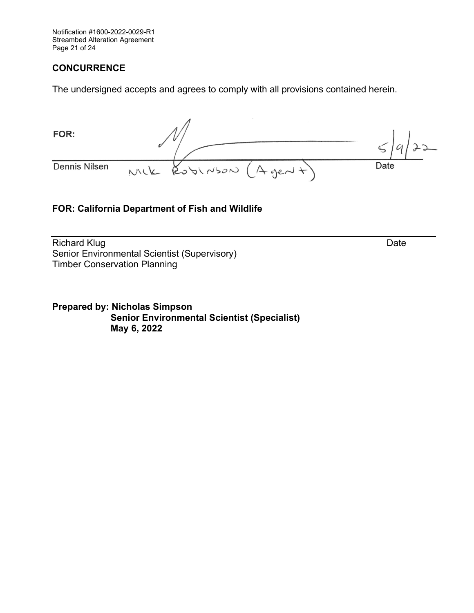Notification #1600-2022-0029-R1 Streambed Alteration Agreement Page 21 of 24

#### **CONCURRENCE**

The undersigned accepts and agrees to comply with all provisions contained herein.

| FOR:          |                        |      |
|---------------|------------------------|------|
| Dennis Nilsen | MIK RODINSON $(A$ gent | Date |

## **FOR: California Department of Fish and Wildlife**

Richard Klug **Date** Senior Environmental Scientist (Supervisory) Timber Conservation Planning

**Prepared by: Nicholas Simpson Senior Environmental Scientist (Specialist) May 6, 2022**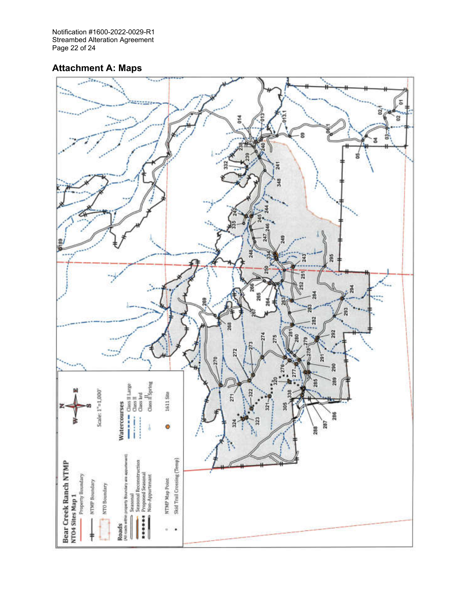Notification #1600-2022-0029-R1 Streambed Alteration Agreement Page 22 of 24

## **Attachment A: Maps**

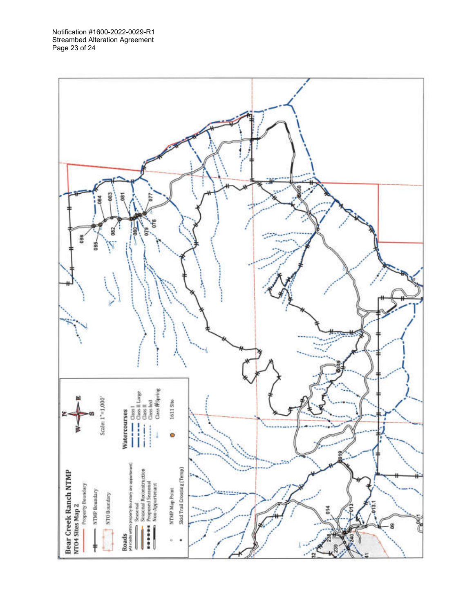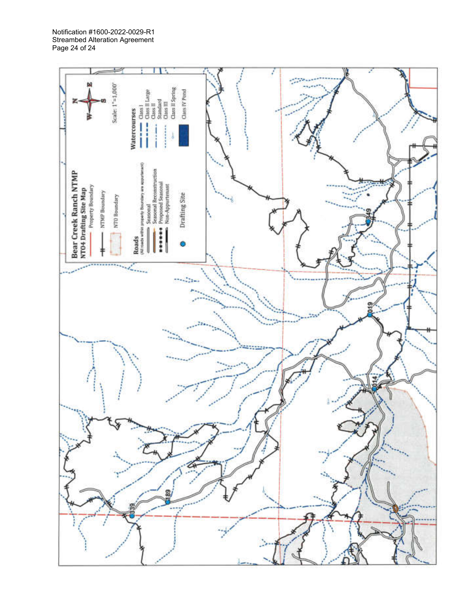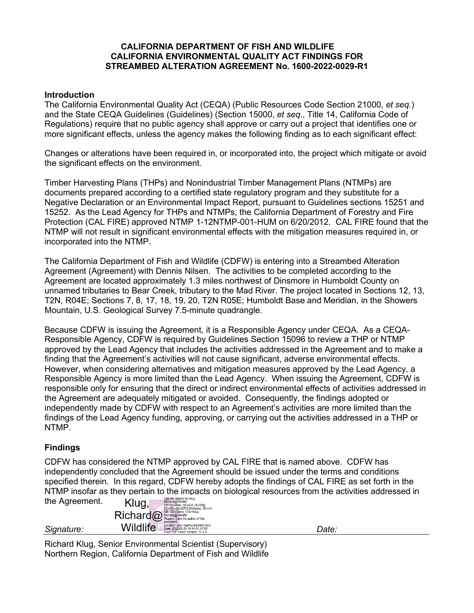#### **CALIFORNIA DEPARTMENT OF FISH AND WILDLIFE CALIFORNIA ENVIRONMENTAL QUALITY ACT FINDINGS FOR STREAMBED ALTERATION AGREEMENT No. 1600-2022-0029-R1**

#### **Introduction**

The California Environmental Quality Act (CEQA) (Public Resources Code Section 21000, *et seq.*) and the State CEQA Guidelines (Guidelines) (Section 15000, *et seq*., Title 14, California Code of Regulations) require that no public agency shall approve or carry out a project that identifies one or more significant effects, unless the agency makes the following finding as to each significant effect:

Changes or alterations have been required in, or incorporated into, the project which mitigate or avoid the significant effects on the environment.

Timber Harvesting Plans (THPs) and Nonindustrial Timber Management Plans (NTMPs) are documents prepared according to a certified state regulatory program and they substitute for a Negative Declaration or an Environmental Impact Report, pursuant to Guidelines sections 15251 and 15252. As the Lead Agency for THPs and NTMPs, the California Department of Forestry and Fire Protection (CAL FIRE) approved NTMP 1-12NTMP-001-HUM on 6/20/2012. CAL FIRE found that the NTMP will not result in significant environmental effects with the mitigation measures required in, or incorporated into the NTMP.

The California Department of Fish and Wildlife (CDFW) is entering into a Streambed Alteration Agreement (Agreement) with Dennis Nilsen. The activities to be completed according to the Agreement are located approximately 1.3 miles northwest of Dinsmore in Humboldt County on unnamed tributaries to Bear Creek, tributary to the Mad River. The project located in Sections 12, 13, T2N, R04E; Sections 7, 8, 17, 18, 19, 20, T2N R05E; Humboldt Base and Meridian, in the Showers Mountain, U.S. Geological Survey 7.5-minute quadrangle.

Because CDFW is issuing the Agreement, it is a Responsible Agency under CEQA. As a CEQA-Responsible Agency, CDFW is required by Guidelines Section 15096 to review a THP or NTMP approved by the Lead Agency that includes the activities addressed in the Agreement and to make a finding that the Agreement's activities will not cause significant, adverse environmental effects. However, when considering alternatives and mitigation measures approved by the Lead Agency, a Responsible Agency is more limited than the Lead Agency. When issuing the Agreement, CDFW is responsible only for ensuring that the direct or indirect environmental effects of activities addressed in the Agreement are adequately mitigated or avoided. Consequently, the findings adopted or independently made by CDFW with respect to an Agreement's activities are more limited than the findings of the Lead Agency funding, approving, or carrying out the activities addressed in a THP or NTMP.

#### **Findings**

CDFW has considered the NTMP approved by CAL FIRE that is named above. CDFW has independently concluded that the Agreement should be issued under the terms and conditions specified therein. In this regard, CDFW hereby adopts the findings of CAL FIRE as set forth in the NTMP insofar as they pertain to the impacts on biological resources from the activities addressed in

| the Agreement. | Klug,                                                        | Digitally signed by Klug.<br>Richard@Wildlife<br>DN: DC=Gov. DC=Ca. DC=Dfg.<br>DC=AD, OU=DFG Divisions, OU=(1)           |       |
|----------------|--------------------------------------------------------------|--------------------------------------------------------------------------------------------------------------------------|-------|
|                | $\mathsf{Richard}_\omega$ <sup>NR, OU=Users, CN="Klug,</sup> | NR, OU=Users, CN="Klug,                                                                                                  |       |
| Signature:     | Wildlife                                                     | document<br>Location: your signing location here<br>Date: 2022.05.26 16:44:01-07'00'<br>Foxit PDF Editor Version: 11.2.0 | Date: |

Richard Klug, Senior Environmental Scientist (Supervisory) Northern Region, California Department of Fish and Wildlife